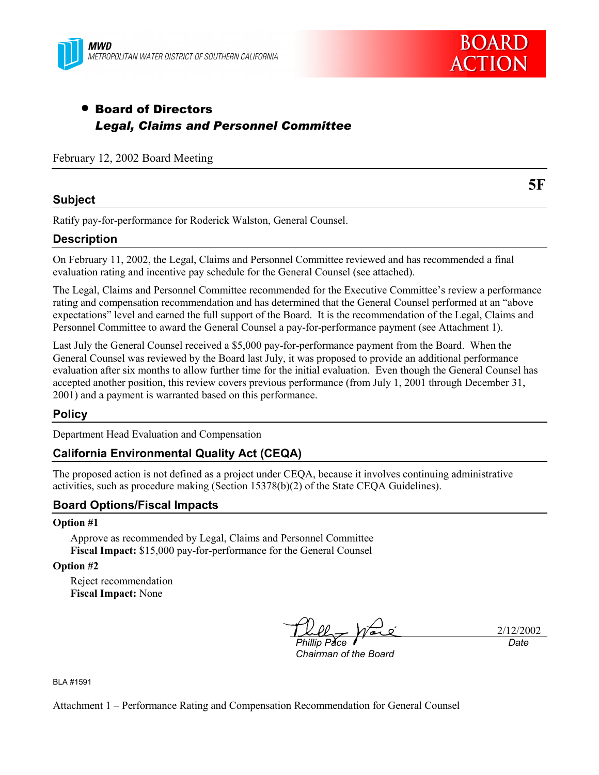



# • Board of Directors *Legal, Claims and Personnel Committee*

February 12, 2002 Board Meeting

# **Subject**

Ratify pay-for-performance for Roderick Walston, General Counsel.

# **Description**

On February 11, 2002, the Legal, Claims and Personnel Committee reviewed and has recommended a final evaluation rating and incentive pay schedule for the General Counsel (see attached).

The Legal, Claims and Personnel Committee recommended for the Executive Committee's review a performance rating and compensation recommendation and has determined that the General Counsel performed at an "above expectations" level and earned the full support of the Board. It is the recommendation of the Legal, Claims and Personnel Committee to award the General Counsel a pay-for-performance payment (see Attachment 1).

Last July the General Counsel received a \$5,000 pay-for-performance payment from the Board. When the General Counsel was reviewed by the Board last July, it was proposed to provide an additional performance evaluation after six months to allow further time for the initial evaluation. Even though the General Counsel has accepted another position, this review covers previous performance (from July 1, 2001 through December 31, 2001) and a payment is warranted based on this performance.

# **Policy**

Department Head Evaluation and Compensation

### **California Environmental Quality Act (CEQA)**

The proposed action is not defined as a project under CEQA, because it involves continuing administrative activities, such as procedure making (Section 15378(b)(2) of the State CEQA Guidelines).

### **Board Options/Fiscal Impacts**

#### **Option #1**

Approve as recommended by Legal, Claims and Personnel Committee **Fiscal Impact:** \$15,000 pay-for-performance for the General Counsel

**Option #2**

Reject recommendation **Fiscal Impact:** None

*Phillip Pace*

2/12/2002 *Date*

*Chairman of the Board*

BLA #1591

Attachment 1 – Performance Rating and Compensation Recommendation for General Counsel

**5F**